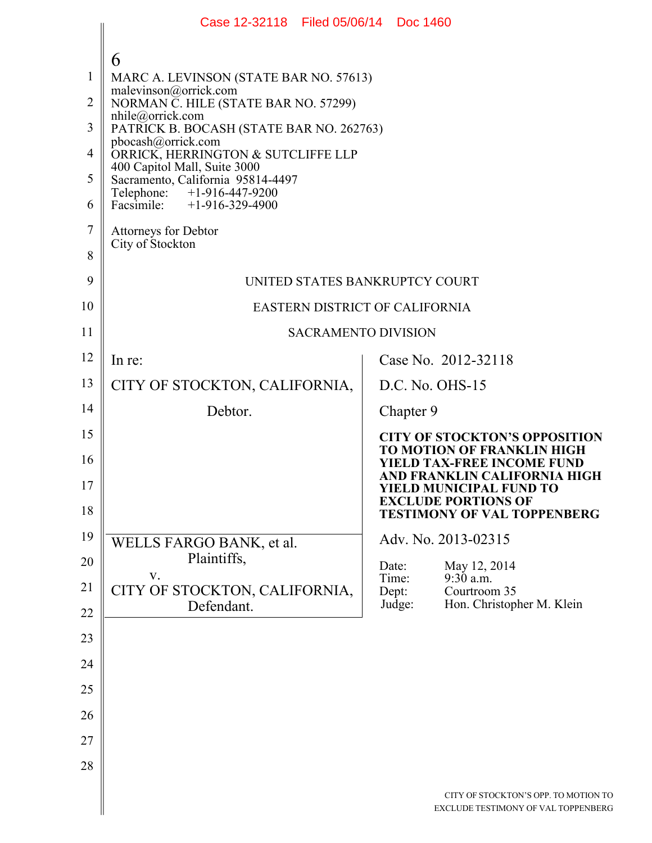|                | Case 12-32118 Filed 05/06/14 Doc 1460                             |                                                                             |  |  |  |
|----------------|-------------------------------------------------------------------|-----------------------------------------------------------------------------|--|--|--|
|                | 6                                                                 |                                                                             |  |  |  |
| 1              | MARC A. LEVINSON (STATE BAR NO. 57613)                            |                                                                             |  |  |  |
| $\overline{2}$ | malevinson@orrick.com<br>NORMAN C. HILE (STATE BAR NO. 57299)     |                                                                             |  |  |  |
| 3              | nhile@orrick.com<br>PATRICK B. BOCASH (STATE BAR NO. 262763)      |                                                                             |  |  |  |
| $\overline{4}$ | pbocash@orrick.com<br>ORRICK, HERRINGTON & SUTCLIFFE LLP          |                                                                             |  |  |  |
| 5              | 400 Capitol Mall, Suite 3000<br>Sacramento, California 95814-4497 |                                                                             |  |  |  |
| 6              | Telephone: +1-916-447-9200<br>Facsimile: +1-916-329-4900          |                                                                             |  |  |  |
| $\overline{7}$ | <b>Attorneys for Debtor</b><br>City of Stockton                   |                                                                             |  |  |  |
| 8              |                                                                   |                                                                             |  |  |  |
| 9              | UNITED STATES BANKRUPTCY COURT                                    |                                                                             |  |  |  |
| 10             | EASTERN DISTRICT OF CALIFORNIA                                    |                                                                             |  |  |  |
| 11             | <b>SACRAMENTO DIVISION</b>                                        |                                                                             |  |  |  |
| 12             | In re:                                                            | Case No. 2012-32118                                                         |  |  |  |
| 13             | CITY OF STOCKTON, CALIFORNIA,                                     | $D.C. No. OHS-15$                                                           |  |  |  |
| 14             | Debtor.                                                           | Chapter 9                                                                   |  |  |  |
| 15             |                                                                   | <b>CITY OF STOCKTON'S OPPOSITION</b><br><b>TO MOTION OF FRANKLIN HIGH</b>   |  |  |  |
| 16             |                                                                   | <b>YIELD TAX-FREE INCOME FUND</b><br>AND FRANKLIN CALIFORNIA HIGH           |  |  |  |
| 17             |                                                                   | YIELD MUNICIPAL FUND TO<br><b>EXCLUDE PORTIONS OF</b>                       |  |  |  |
| 18             |                                                                   | <b>TESTIMONY OF VAL TOPPENBERG</b>                                          |  |  |  |
| 19             | WELLS FARGO BANK, et al.                                          | Adv. No. 2013-02315                                                         |  |  |  |
| 20             | Plaintiffs,<br>V.                                                 | May 12, 2014<br>Date:<br>$9:30$ a.m.<br>Time:                               |  |  |  |
| 21             | CITY OF STOCKTON, CALIFORNIA,<br>Defendant.                       | Dept:<br>Courtroom 35<br>Judge:<br>Hon. Christopher M. Klein                |  |  |  |
| 22<br>23       |                                                                   |                                                                             |  |  |  |
| 24             |                                                                   |                                                                             |  |  |  |
| 25             |                                                                   |                                                                             |  |  |  |
| 26             |                                                                   |                                                                             |  |  |  |
| 27             |                                                                   |                                                                             |  |  |  |
| 28             |                                                                   |                                                                             |  |  |  |
|                |                                                                   |                                                                             |  |  |  |
|                |                                                                   | CITY OF STOCKTON'S OPP. TO MOTION TO<br>EXCLUDE TESTIMONY OF VAL TOPPENBERG |  |  |  |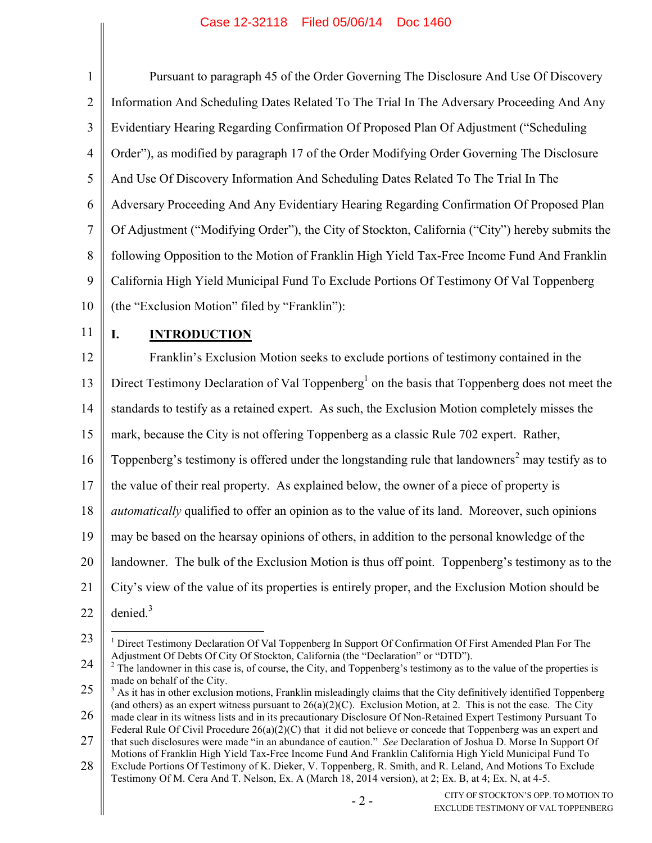#### Case 12-32118 Filed 05/06/14 Doc 1460

| $\mathbf{1}$   | Pursuant to paragraph 45 of the Order Governing The Disclosure And Use Of Discovery                                                                                                                                                                                        |  |  |
|----------------|----------------------------------------------------------------------------------------------------------------------------------------------------------------------------------------------------------------------------------------------------------------------------|--|--|
| $\overline{2}$ | Information And Scheduling Dates Related To The Trial In The Adversary Proceeding And Any                                                                                                                                                                                  |  |  |
| $\mathfrak{Z}$ | Evidentiary Hearing Regarding Confirmation Of Proposed Plan Of Adjustment ("Scheduling                                                                                                                                                                                     |  |  |
| $\overline{4}$ | Order"), as modified by paragraph 17 of the Order Modifying Order Governing The Disclosure                                                                                                                                                                                 |  |  |
| 5              | And Use Of Discovery Information And Scheduling Dates Related To The Trial In The                                                                                                                                                                                          |  |  |
| 6              | Adversary Proceeding And Any Evidentiary Hearing Regarding Confirmation Of Proposed Plan                                                                                                                                                                                   |  |  |
| $\overline{7}$ | Of Adjustment ("Modifying Order"), the City of Stockton, California ("City") hereby submits the                                                                                                                                                                            |  |  |
| 8              | following Opposition to the Motion of Franklin High Yield Tax-Free Income Fund And Franklin                                                                                                                                                                                |  |  |
| 9              | California High Yield Municipal Fund To Exclude Portions Of Testimony Of Val Toppenberg                                                                                                                                                                                    |  |  |
| 10             | (the "Exclusion Motion" filed by "Franklin"):                                                                                                                                                                                                                              |  |  |
| 11             | I.<br><b>INTRODUCTION</b>                                                                                                                                                                                                                                                  |  |  |
| 12             | Franklin's Exclusion Motion seeks to exclude portions of testimony contained in the                                                                                                                                                                                        |  |  |
| 13             | Direct Testimony Declaration of Val Toppenberg <sup>1</sup> on the basis that Toppenberg does not meet the                                                                                                                                                                 |  |  |
| 14             | standards to testify as a retained expert. As such, the Exclusion Motion completely misses the                                                                                                                                                                             |  |  |
| 15             | mark, because the City is not offering Toppenberg as a classic Rule 702 expert. Rather,                                                                                                                                                                                    |  |  |
| 16             | Toppenberg's testimony is offered under the longstanding rule that landowners <sup>2</sup> may testify as to                                                                                                                                                               |  |  |
| 17             | the value of their real property. As explained below, the owner of a piece of property is                                                                                                                                                                                  |  |  |
| 18             | <i>automatically</i> qualified to offer an opinion as to the value of its land. Moreover, such opinions                                                                                                                                                                    |  |  |
| 19             | may be based on the hearsay opinions of others, in addition to the personal knowledge of the                                                                                                                                                                               |  |  |
| 20             | landowner. The bulk of the Exclusion Motion is thus off point. Toppenberg's testimony as to the                                                                                                                                                                            |  |  |
| 21             | City's view of the value of its properties is entirely proper, and the Exclusion Motion should be                                                                                                                                                                          |  |  |
| 22             | denied. $3$                                                                                                                                                                                                                                                                |  |  |
| 23             | Direct Testimony Declaration Of Val Toppenberg In Support Of Confirmation Of First Amended Plan For The                                                                                                                                                                    |  |  |
| 24             | Adjustment Of Debts Of City Of Stockton, California (the "Declaration" or "DTD").<br>$2$ The landowner in this case is, of course, the City, and Toppenberg's testimony as to the value of the properties is                                                               |  |  |
| 25<br>$\sim$   | made on behalf of the City.<br>As it has in other exclusion motions, Franklin misleadingly claims that the City definitively identified Toppenberg<br>(and others) as an expert witness pursuant to $26(a)(2)(C)$ . Exclusion Motion, at 2. This is not the case. The City |  |  |

<sup>26</sup> 27 made clear in its witness lists and in its precautionary Disclosure Of Non-Retained Expert Testimony Pursuant To Federal Rule Of Civil Procedure 26(a)(2)(C) that it did not believe or concede that Toppenberg was an expert and

that such disclosures were made "in an abundance of caution." *See* Declaration of Joshua D. Morse In Support Of Motions of Franklin High Yield Tax-Free Income Fund And Franklin California High Yield Municipal Fund To

<sup>28</sup> Exclude Portions Of Testimony of K. Dieker, V. Toppenberg, R. Smith, and R. Leland, And Motions To Exclude Testimony Of M. Cera And T. Nelson, Ex. A (March 18, 2014 version), at 2; Ex. B, at 4; Ex. N, at 4-5.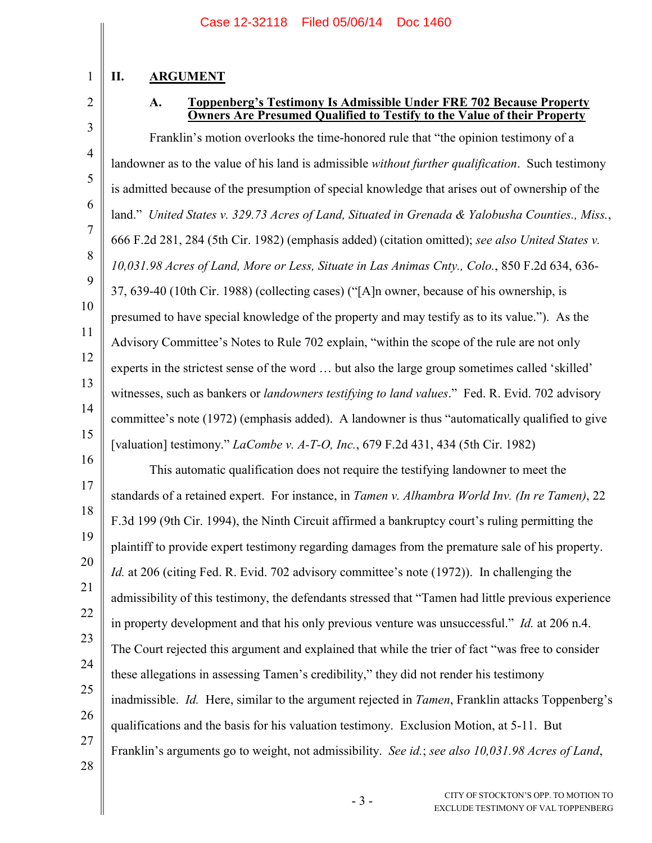# **II. ARGUMENT**

2

1

### **A. Toppenberg's Testimony Is Admissible Under FRE 702 Because Property Owners Are Presumed Qualified to Testify to the Value of their Property**

3 4 5 6 7 8 9 10 11 12 13 14 15 Franklin's motion overlooks the time-honored rule that "the opinion testimony of a landowner as to the value of his land is admissible *without further qualification*. Such testimony is admitted because of the presumption of special knowledge that arises out of ownership of the land." *United States v. 329.73 Acres of Land, Situated in Grenada & Yalobusha Counties., Miss.*, 666 F.2d 281, 284 (5th Cir. 1982) (emphasis added) (citation omitted); *see also United States v. 10,031.98 Acres of Land, More or Less, Situate in Las Animas Cnty., Colo.*, 850 F.2d 634, 636- 37, 639-40 (10th Cir. 1988) (collecting cases) ("[A]n owner, because of his ownership, is presumed to have special knowledge of the property and may testify as to its value."). As the Advisory Committee's Notes to Rule 702 explain, "within the scope of the rule are not only experts in the strictest sense of the word … but also the large group sometimes called 'skilled' witnesses, such as bankers or *landowners testifying to land values*." Fed. R. Evid. 702 advisory committee's note (1972) (emphasis added). A landowner is thus "automatically qualified to give [valuation] testimony." *LaCombe v. A-T-O, Inc.*, 679 F.2d 431, 434 (5th Cir. 1982)

17 18 19 20 21 22 23 24 25 26 27 This automatic qualification does not require the testifying landowner to meet the standards of a retained expert. For instance, in *Tamen v. Alhambra World Inv. (In re Tamen)*, 22 F.3d 199 (9th Cir. 1994), the Ninth Circuit affirmed a bankruptcy court's ruling permitting the plaintiff to provide expert testimony regarding damages from the premature sale of his property. *Id.* at 206 (citing Fed. R. Evid. 702 advisory committee's note (1972)). In challenging the admissibility of this testimony, the defendants stressed that "Tamen had little previous experience in property development and that his only previous venture was unsuccessful." *Id.* at 206 n.4. The Court rejected this argument and explained that while the trier of fact "was free to consider these allegations in assessing Tamen's credibility," they did not render his testimony inadmissible. *Id.* Here, similar to the argument rejected in *Tamen*, Franklin attacks Toppenberg's qualifications and the basis for his valuation testimony. Exclusion Motion, at 5-11. But Franklin's arguments go to weight, not admissibility. *See id.*; *see also 10,031.98 Acres of Land*,

28

16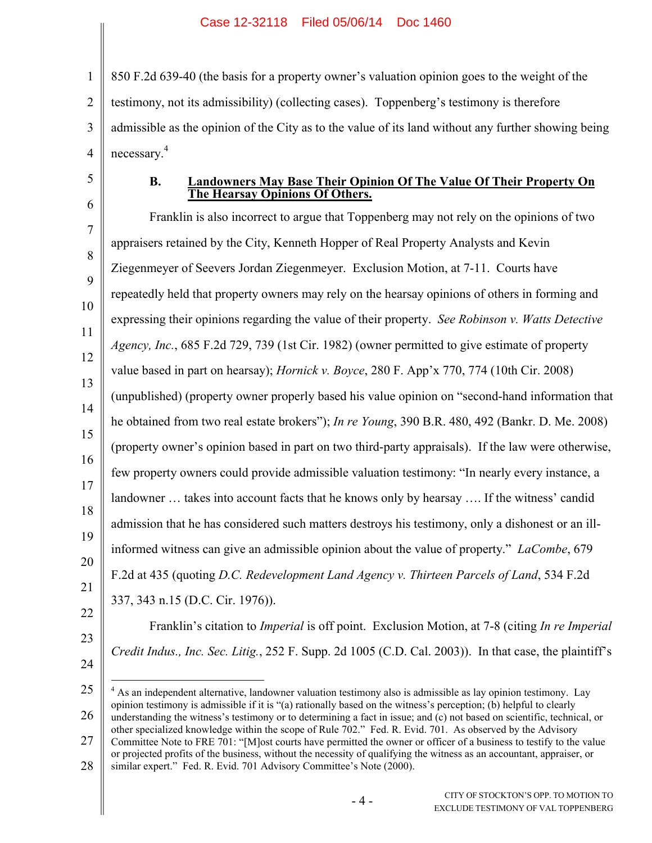1 2 3 4 850 F.2d 639-40 (the basis for a property owner's valuation opinion goes to the weight of the testimony, not its admissibility) (collecting cases). Toppenberg's testimony is therefore admissible as the opinion of the City as to the value of its land without any further showing being necessary. 4

5

#### **B. Landowners May Base Their Opinion Of The Value Of Their Property On The Hearsay Opinions Of Others.**

6 7 8 9 10 11 12 13 14 15 16 17 18 19 20 21 Franklin is also incorrect to argue that Toppenberg may not rely on the opinions of two appraisers retained by the City, Kenneth Hopper of Real Property Analysts and Kevin Ziegenmeyer of Seevers Jordan Ziegenmeyer. Exclusion Motion, at 7-11. Courts have repeatedly held that property owners may rely on the hearsay opinions of others in forming and expressing their opinions regarding the value of their property. *See Robinson v. Watts Detective Agency, Inc.*, 685 F.2d 729, 739 (1st Cir. 1982) (owner permitted to give estimate of property value based in part on hearsay); *Hornick v. Boyce*, 280 F. App'x 770, 774 (10th Cir. 2008) (unpublished) (property owner properly based his value opinion on "second-hand information that he obtained from two real estate brokers"); *In re Young*, 390 B.R. 480, 492 (Bankr. D. Me. 2008) (property owner's opinion based in part on two third-party appraisals). If the law were otherwise, few property owners could provide admissible valuation testimony: "In nearly every instance, a landowner … takes into account facts that he knows only by hearsay …. If the witness' candid admission that he has considered such matters destroys his testimony, only a dishonest or an illinformed witness can give an admissible opinion about the value of property." *LaCombe*, 679 F.2d at 435 (quoting *D.C. Redevelopment Land Agency v. Thirteen Parcels of Land*, 534 F.2d 337, 343 n.15 (D.C. Cir. 1976)).

- 22
- 23
- 24

Franklin's citation to *Imperial* is off point. Exclusion Motion, at 7-8 (citing *In re Imperial* 

<sup>25</sup> *Credit Indus., Inc. Sec. Litig.*, 252 F. Supp. 2d 1005 (C.D. Cal. 2003)). In that case, the plaintiff's  $\overline{a}$ <sup>4</sup> As an independent alternative, landowner valuation testimony also is admissible as lay opinion testimony. Lay

<sup>26</sup> 27 opinion testimony is admissible if it is "(a) rationally based on the witness's perception; (b) helpful to clearly understanding the witness's testimony or to determining a fact in issue; and (c) not based on scientific, technical, or other specialized knowledge within the scope of Rule 702." Fed. R. Evid. 701. As observed by the Advisory

Committee Note to FRE 701: "[M]ost courts have permitted the owner or officer of a business to testify to the value or projected profits of the business, without the necessity of qualifying the witness as an accountant, appraiser, or

<sup>28</sup> similar expert." Fed. R. Evid. 701 Advisory Committee's Note (2000).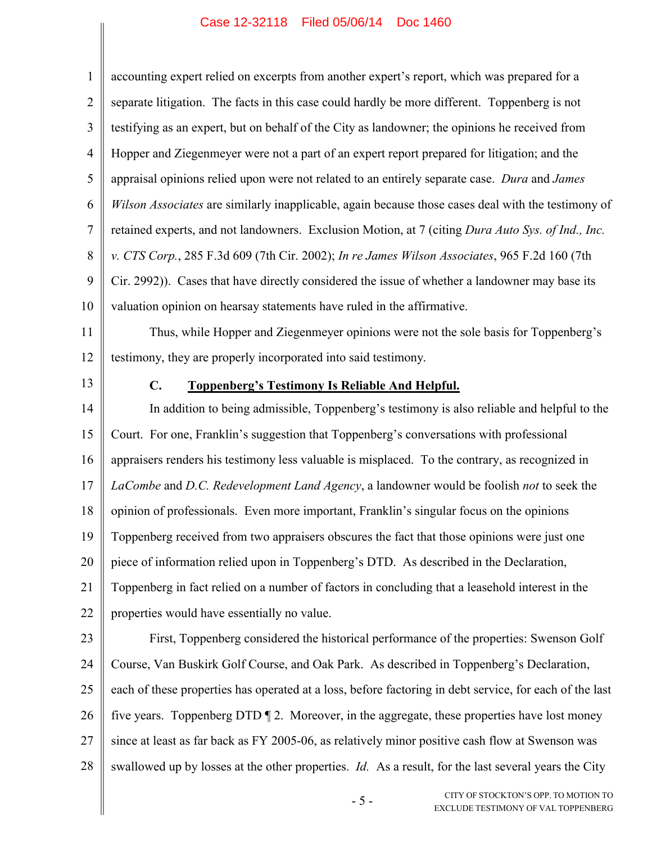# Case 12-32118 Filed 05/06/14 Doc 1460

| $\mathbf{1}$   | accounting expert relied on excerpts from another expert's report, which was prepared for a                 |  |  |
|----------------|-------------------------------------------------------------------------------------------------------------|--|--|
| $\overline{2}$ | separate litigation. The facts in this case could hardly be more different. Toppenberg is not               |  |  |
| $\mathfrak{Z}$ | testifying as an expert, but on behalf of the City as landowner; the opinions he received from              |  |  |
| $\overline{4}$ | Hopper and Ziegenmeyer were not a part of an expert report prepared for litigation; and the                 |  |  |
| 5              | appraisal opinions relied upon were not related to an entirely separate case. Dura and James                |  |  |
| 6              | Wilson Associates are similarly inapplicable, again because those cases deal with the testimony of          |  |  |
| $\tau$         | retained experts, and not landowners. Exclusion Motion, at 7 (citing Dura Auto Sys. of Ind., Inc.           |  |  |
| $8\,$          | v. CTS Corp., 285 F.3d 609 (7th Cir. 2002); In re James Wilson Associates, 965 F.2d 160 (7th                |  |  |
| 9              | Cir. 2992)). Cases that have directly considered the issue of whether a landowner may base its              |  |  |
| 10             | valuation opinion on hearsay statements have ruled in the affirmative.                                      |  |  |
| 11             | Thus, while Hopper and Ziegenmeyer opinions were not the sole basis for Toppenberg's                        |  |  |
| 12             | testimony, they are properly incorporated into said testimony.                                              |  |  |
| 13             | <b>Toppenberg's Testimony Is Reliable And Helpful.</b><br>$C_{\bullet}$                                     |  |  |
| 14             | In addition to being admissible, Toppenberg's testimony is also reliable and helpful to the                 |  |  |
| 15             | Court. For one, Franklin's suggestion that Toppenberg's conversations with professional                     |  |  |
| 16             | appraisers renders his testimony less valuable is misplaced. To the contrary, as recognized in              |  |  |
| 17             | LaCombe and D.C. Redevelopment Land Agency, a landowner would be foolish not to seek the                    |  |  |
| 18             | opinion of professionals. Even more important, Franklin's singular focus on the opinions                    |  |  |
| 19             | Toppenberg received from two appraisers obscures the fact that those opinions were just one                 |  |  |
| 20             | piece of information relied upon in Toppenberg's DTD. As described in the Declaration,                      |  |  |
| 21             | Toppenberg in fact relied on a number of factors in concluding that a leasehold interest in the             |  |  |
| 22             | properties would have essentially no value.                                                                 |  |  |
| 23             | First, Toppenberg considered the historical performance of the properties: Swenson Golf                     |  |  |
| 24             | Course, Van Buskirk Golf Course, and Oak Park. As described in Toppenberg's Declaration,                    |  |  |
| 25             | each of these properties has operated at a loss, before factoring in debt service, for each of the last     |  |  |
| 26             | five years. Toppenberg DTD $\P$ 2. Moreover, in the aggregate, these properties have lost money             |  |  |
| 27             | since at least as far back as FY 2005-06, as relatively minor positive cash flow at Swenson was             |  |  |
| 28             | swallowed up by losses at the other properties. <i>Id.</i> As a result, for the last several years the City |  |  |
|                | CITY OF STOCKTON'S OPP. TO MOTION TO<br>с                                                                   |  |  |